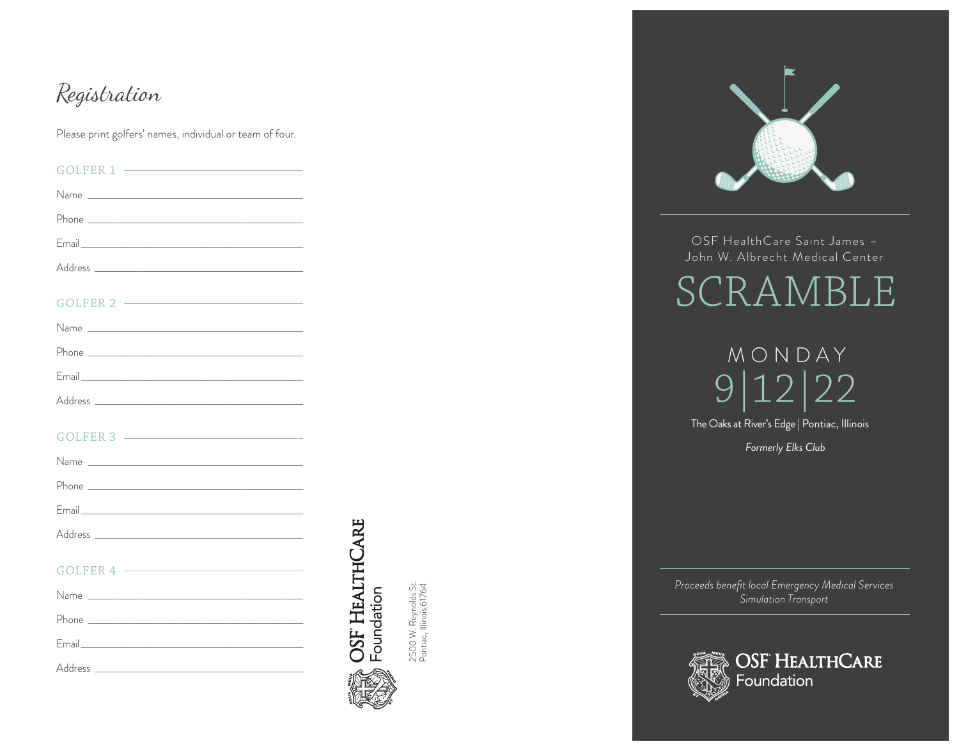## Registration

Please print golfers' names, individual or team of four.

| GOLFER 1                     |  |
|------------------------------|--|
|                              |  |
|                              |  |
|                              |  |
|                              |  |
| GOLFER 2                     |  |
|                              |  |
|                              |  |
|                              |  |
|                              |  |
|                              |  |
|                              |  |
|                              |  |
|                              |  |
| $GOLFER 4$ $\longrightarrow$ |  |
|                              |  |
|                              |  |
|                              |  |
| Address                      |  |



2500 W. Reynolds St.<br>Pontiac, Illinois 61764



OSF HealthCare Saint James -John W. Albrecht Medical Center

SCRAMBL  $\mathsf{H}$ 

MONDAY  $\overline{22}$ 12 9 The Oaks at River's Edge | Pontiac, Illinois Formerly Elks Club

Proceeds benefit local Emergency Medical Services Simulation Transport